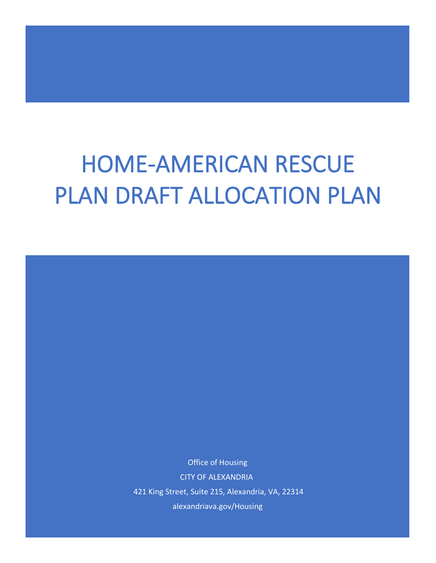# HOME-AMERICAN RESCUE PLAN DRAFT ALLOCATION PLAN

Office of Housing CITY OF ALEXANDRIA 421 King Street, Suite 215, Alexandria, VA, 22314 alexandriava.gov/Housing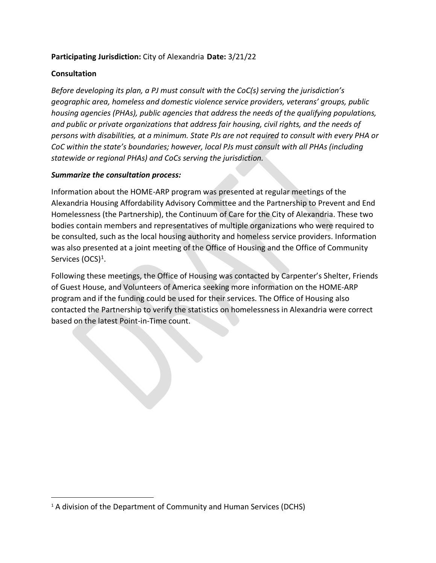#### **Participating Jurisdiction:** City of Alexandria **Date:** 3/21/22

#### **Consultation**

*Before developing its plan, a PJ must consult with the CoC(s) serving the jurisdiction's geographic area, homeless and domestic violence service providers, veterans' groups, public housing agencies (PHAs), public agencies that address the needs of the qualifying populations, and public or private organizations that address fair housing, civil rights, and the needs of persons with disabilities, at a minimum. State PJs are not required to consult with every PHA or CoC within the state's boundaries; however, local PJs must consult with all PHAs (including statewide or regional PHAs) and CoCs serving the jurisdiction.* 

#### *Summarize the consultation process:*

Information about the HOME-ARP program was presented at regular meetings of the Alexandria Housing Affordability Advisory Committee and the Partnership to Prevent and End Homelessness (the Partnership), the Continuum of Care for the City of Alexandria. These two bodies contain members and representatives of multiple organizations who were required to be consulted, such as the local housing authority and homeless service providers. Information was also presented at a joint meeting of the Office of Housing and the Office of Community Services (OCS)<sup>1</sup>.

Following these meetings, the Office of Housing was contacted by Carpenter's Shelter, Friends of Guest House, and Volunteers of America seeking more information on the HOME-ARP program and if the funding could be used for their services. The Office of Housing also contacted the Partnership to verify the statistics on homelessness in Alexandria were correct based on the latest Point-in-Time count.

<span id="page-1-0"></span><sup>&</sup>lt;sup>1</sup> A division of the Department of Community and Human Services (DCHS)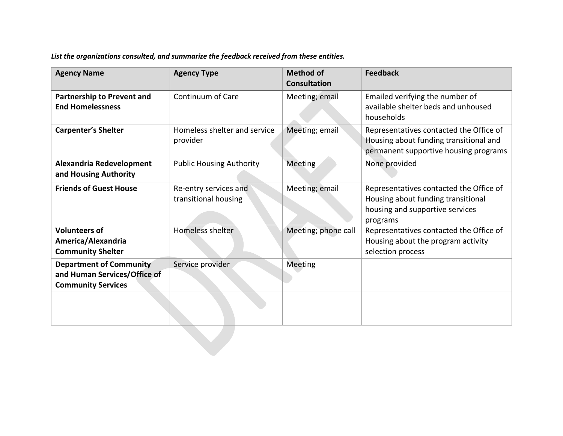*List the organizations consulted, and summarize the feedback received from these entities.*

| <b>Agency Name</b>                                                                          | <b>Agency Type</b>                            | <b>Method of</b><br><b>Consultation</b> | <b>Feedback</b>                                                                                                              |
|---------------------------------------------------------------------------------------------|-----------------------------------------------|-----------------------------------------|------------------------------------------------------------------------------------------------------------------------------|
| <b>Partnership to Prevent and</b><br><b>End Homelessness</b>                                | Continuum of Care                             | Meeting; email                          | Emailed verifying the number of<br>available shelter beds and unhoused<br>households                                         |
| <b>Carpenter's Shelter</b>                                                                  | Homeless shelter and service<br>provider      | Meeting; email                          | Representatives contacted the Office of<br>Housing about funding transitional and<br>permanent supportive housing programs   |
| Alexandria Redevelopment<br>and Housing Authority                                           | <b>Public Housing Authority</b>               | Meeting                                 | None provided                                                                                                                |
| <b>Friends of Guest House</b>                                                               | Re-entry services and<br>transitional housing | Meeting; email                          | Representatives contacted the Office of<br>Housing about funding transitional<br>housing and supportive services<br>programs |
| <b>Volunteers of</b><br>America/Alexandria<br><b>Community Shelter</b>                      | Homeless shelter                              | Meeting; phone call                     | Representatives contacted the Office of<br>Housing about the program activity<br>selection process                           |
| <b>Department of Community</b><br>and Human Services/Office of<br><b>Community Services</b> | Service provider                              | <b>Meeting</b>                          |                                                                                                                              |
|                                                                                             |                                               |                                         |                                                                                                                              |
|                                                                                             |                                               |                                         |                                                                                                                              |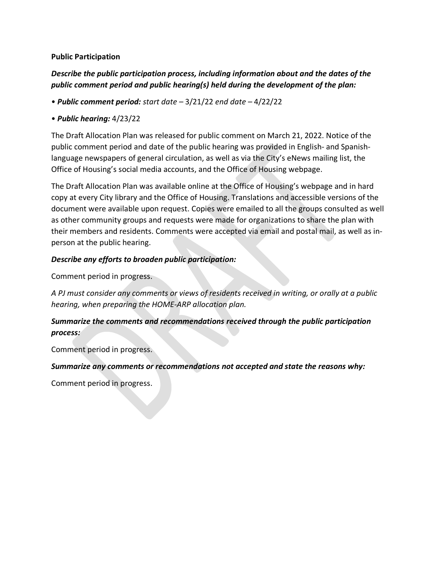#### **Public Participation**

# *Describe the public participation process, including information about and the dates of the public comment period and public hearing(s) held during the development of the plan:*

• *Public comment period: start date –* 3/21/22 *end date –* 4/22/22

#### • *Public hearing:* 4/23/22

The Draft Allocation Plan was released for public comment on March 21, 2022. Notice of the public comment period and date of the public hearing was provided in English- and Spanishlanguage newspapers of general circulation, as well as via the City's eNews mailing list, the Office of Housing's social media accounts, and the Office of Housing webpage.

The Draft Allocation Plan was available online at the Office of Housing's webpage and in hard copy at every City library and the Office of Housing. Translations and accessible versions of the document were available upon request. Copies were emailed to all the groups consulted as well as other community groups and requests were made for organizations to share the plan with their members and residents. Comments were accepted via email and postal mail, as well as inperson at the public hearing.

#### *Describe any efforts to broaden public participation:*

Comment period in progress.

*A PJ must consider any comments or views of residents received in writing, or orally at a public hearing, when preparing the HOME-ARP allocation plan.* 

# *Summarize the comments and recommendations received through the public participation process:*

Comment period in progress.

*Summarize any comments or recommendations not accepted and state the reasons why:* 

Comment period in progress.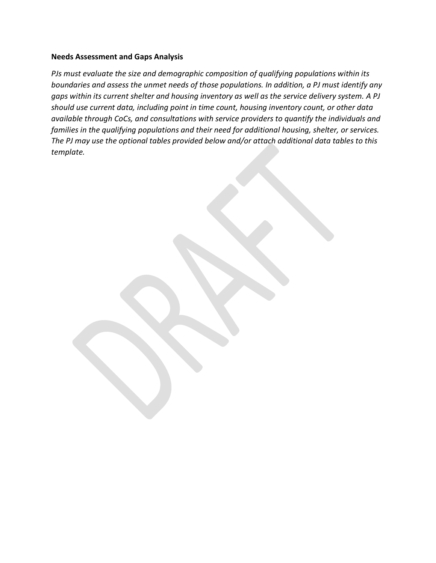#### **Needs Assessment and Gaps Analysis**

*PJs must evaluate the size and demographic composition of qualifying populations within its boundaries and assess the unmet needs of those populations. In addition, a PJ must identify any gaps within its current shelter and housing inventory as well as the service delivery system. A PJ should use current data, including point in time count, housing inventory count, or other data available through CoCs, and consultations with service providers to quantify the individuals and families in the qualifying populations and their need for additional housing, shelter, or services. The PJ may use the optional tables provided below and/or attach additional data tables to this template.*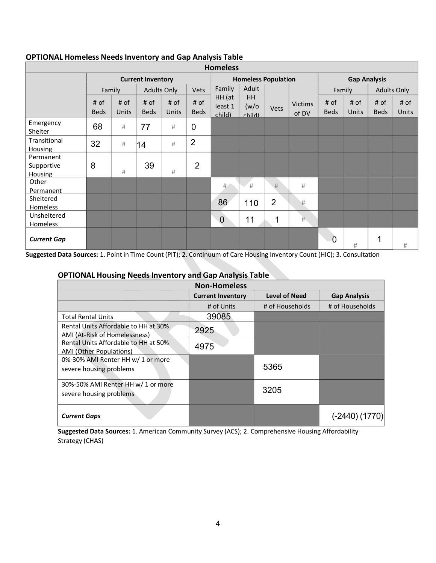| <b>Homeless</b>                           |                          |               |                     |                            |                     |                             |                              |                |                         |                     |               |                     |               |
|-------------------------------------------|--------------------------|---------------|---------------------|----------------------------|---------------------|-----------------------------|------------------------------|----------------|-------------------------|---------------------|---------------|---------------------|---------------|
|                                           | <b>Current Inventory</b> |               |                     | <b>Homeless Population</b> |                     |                             | <b>Gap Analysis</b>          |                |                         |                     |               |                     |               |
|                                           |                          | Family        |                     | <b>Adults Only</b>         | <b>Vets</b>         | Adult<br>Family             |                              |                |                         | Family              |               | <b>Adults Only</b>  |               |
|                                           | # of<br><b>Beds</b>      | # of<br>Units | # of<br><b>Beds</b> | # of<br>Units              | # of<br><b>Beds</b> | HH (at<br>least 1<br>child) | <b>HH</b><br>(w/o)<br>child) | <b>Vets</b>    | <b>Victims</b><br>of DV | # of<br><b>Beds</b> | # of<br>Units | # of<br><b>Beds</b> | # of<br>Units |
| Emergency<br>Shelter                      | 68                       | $\#$          | 77                  | #                          | $\mathbf 0$         |                             |                              |                |                         |                     |               |                     |               |
| Transitional<br><b>Housing</b>            | 32                       | $\#$          | 14                  | #                          | $\overline{2}$      |                             |                              |                |                         |                     |               |                     |               |
| Permanent<br>Supportive<br><b>Housing</b> | 8                        | #             | 39                  | #                          | $\overline{2}$      |                             |                              |                |                         |                     |               |                     |               |
| Other<br>Permanent                        |                          |               |                     |                            |                     | #                           | #                            | $\#$           | #                       |                     |               |                     |               |
| Sheltered<br>Homeless                     |                          |               |                     |                            |                     | 86                          | 110                          | $\overline{2}$ | #                       |                     |               |                     |               |
| Unsheltered<br>Homeless                   |                          |               |                     |                            |                     | $\overline{0}$              | 11                           | 1              | 井                       |                     |               |                     |               |
| <b>Current Gap</b>                        |                          |               |                     |                            |                     |                             |                              |                |                         | $\Omega$            | #             | 4                   | #             |

#### **OPTIONAL Homeless Needs Inventory and Gap Analysis Table**

**Suggested Data Sources:** 1. Point in Time Count (PIT); 2. Continuum of Care Housing Inventory Count (HIC); 3. Consultation

#### **OPTIONAL Housing Needs Inventory and Gap Analysis Table**

| <b>Non-Homeless</b>                                                   |                          |                      |                     |  |  |  |  |
|-----------------------------------------------------------------------|--------------------------|----------------------|---------------------|--|--|--|--|
|                                                                       | <b>Current Inventory</b> | <b>Level of Need</b> | <b>Gap Analysis</b> |  |  |  |  |
|                                                                       | # of Units               | # of Households      | # of Households     |  |  |  |  |
| <b>Total Rental Units</b>                                             | 39085                    |                      |                     |  |  |  |  |
| Rental Units Affordable to HH at 30%<br>AMI (At-Risk of Homelessness) | 2925                     |                      |                     |  |  |  |  |
| Rental Units Affordable to HH at 50%<br>AMI (Other Populations)       | 4975                     |                      |                     |  |  |  |  |
| 0%-30% AMI Renter HH w/ 1 or more<br>severe housing problems          |                          | 5365                 |                     |  |  |  |  |
| 30%-50% AMI Renter HH w/ 1 or more<br>severe housing problems         |                          | 3205                 |                     |  |  |  |  |
| <b>Current Gaps</b>                                                   |                          |                      |                     |  |  |  |  |

**Suggested Data Sources:** 1. American Community Survey (ACS); 2. Comprehensive Housing Affordability Strategy (CHAS)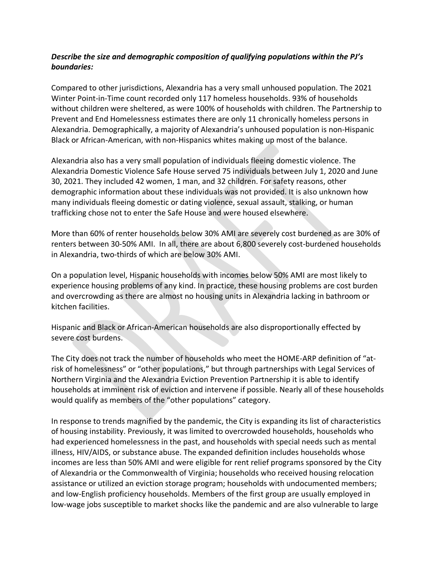#### *Describe the size and demographic composition of qualifying populations within the PJ's boundaries:*

Compared to other jurisdictions, Alexandria has a very small unhoused population. The 2021 Winter Point-in-Time count recorded only 117 homeless households. 93% of households without children were sheltered, as were 100% of households with children. The Partnership to Prevent and End Homelessness estimates there are only 11 chronically homeless persons in Alexandria. Demographically, a majority of Alexandria's unhoused population is non-Hispanic Black or African-American, with non-Hispanics whites making up most of the balance.

Alexandria also has a very small population of individuals fleeing domestic violence. The Alexandria Domestic Violence Safe House served 75 individuals between July 1, 2020 and June 30, 2021. They included 42 women, 1 man, and 32 children. For safety reasons, other demographic information about these individuals was not provided. It is also unknown how many individuals fleeing domestic or dating violence, sexual assault, stalking, or human trafficking chose not to enter the Safe House and were housed elsewhere.

More than 60% of renter households below 30% AMI are severely cost burdened as are 30% of renters between 30-50% AMI. In all, there are about 6,800 severely cost-burdened households in Alexandria, two-thirds of which are below 30% AMI.

On a population level, Hispanic households with incomes below 50% AMI are most likely to experience housing problems of any kind. In practice, these housing problems are cost burden and overcrowding as there are almost no housing units in Alexandria lacking in bathroom or kitchen facilities.

Hispanic and Black or African-American households are also disproportionally effected by severe cost burdens.

The City does not track the number of households who meet the HOME-ARP definition of "atrisk of homelessness" or "other populations," but through partnerships with Legal Services of Northern Virginia and the Alexandria Eviction Prevention Partnership it is able to identify households at imminent risk of eviction and intervene if possible. Nearly all of these households would qualify as members of the "other populations" category.

In response to trends magnified by the pandemic, the City is expanding its list of characteristics of housing instability. Previously, it was limited to overcrowded households, households who had experienced homelessness in the past, and households with special needs such as mental illness, HIV/AIDS, or substance abuse. The expanded definition includes households whose incomes are less than 50% AMI and were eligible for rent relief programs sponsored by the City of Alexandria or the Commonwealth of Virginia; households who received housing relocation assistance or utilized an eviction storage program; households with undocumented members; and low-English proficiency households. Members of the first group are usually employed in low-wage jobs susceptible to market shocks like the pandemic and are also vulnerable to large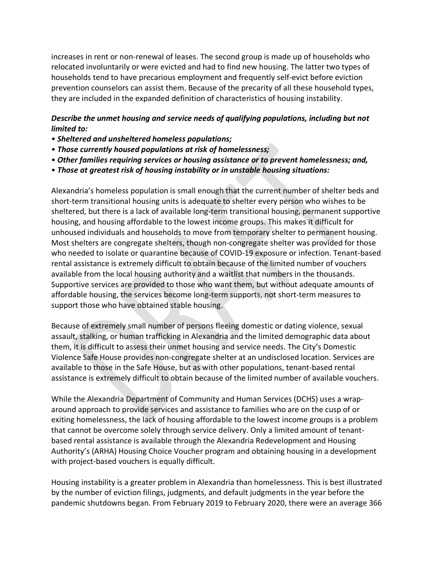increases in rent or non-renewal of leases. The second group is made up of households who relocated involuntarily or were evicted and had to find new housing. The latter two types of households tend to have precarious employment and frequently self-evict before eviction prevention counselors can assist them. Because of the precarity of all these household types, they are included in the expanded definition of characteristics of housing instability.

#### *Describe the unmet housing and service needs of qualifying populations, including but not limited to:*

- *Sheltered and unsheltered homeless populations;*
- *Those currently housed populations at risk of homelessness;*
- *Other families requiring services or housing assistance or to prevent homelessness; and,*
- *Those at greatest risk of housing instability or in unstable housing situations:*

Alexandria's homeless population is small enough that the current number of shelter beds and short-term transitional housing units is adequate to shelter every person who wishes to be sheltered, but there is a lack of available long-term transitional housing, permanent supportive housing, and housing affordable to the lowest income groups. This makes it difficult for unhoused individuals and households to move from temporary shelter to permanent housing. Most shelters are congregate shelters, though non-congregate shelter was provided for those who needed to isolate or quarantine because of COVID-19 exposure or infection. Tenant-based rental assistance is extremely difficult to obtain because of the limited number of vouchers available from the local housing authority and a waitlist that numbers in the thousands. Supportive services are provided to those who want them, but without adequate amounts of affordable housing, the services become long-term supports, not short-term measures to support those who have obtained stable housing.

Because of extremely small number of persons fleeing domestic or dating violence, sexual assault, stalking, or human trafficking in Alexandria and the limited demographic data about them, it is difficult to assess their unmet housing and service needs. The City's Domestic Violence Safe House provides non-congregate shelter at an undisclosed location. Services are available to those in the Safe House, but as with other populations, tenant-based rental assistance is extremely difficult to obtain because of the limited number of available vouchers.

While the Alexandria Department of Community and Human Services (DCHS) uses a wraparound approach to provide services and assistance to families who are on the cusp of or exiting homelessness, the lack of housing affordable to the lowest income groups is a problem that cannot be overcome solely through service delivery. Only a limited amount of tenantbased rental assistance is available through the Alexandria Redevelopment and Housing Authority's (ARHA) Housing Choice Voucher program and obtaining housing in a development with project-based vouchers is equally difficult.

Housing instability is a greater problem in Alexandria than homelessness. This is best illustrated by the number of eviction filings, judgments, and default judgments in the year before the pandemic shutdowns began. From February 2019 to February 2020, there were an average 366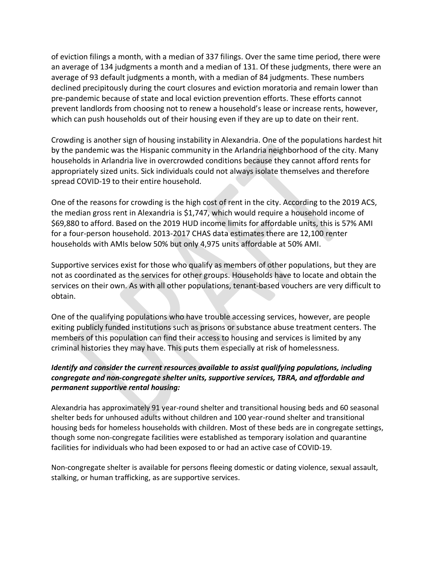of eviction filings a month, with a median of 337 filings. Over the same time period, there were an average of 134 judgments a month and a median of 131. Of these judgments, there were an average of 93 default judgments a month, with a median of 84 judgments. These numbers declined precipitously during the court closures and eviction moratoria and remain lower than pre-pandemic because of state and local eviction prevention efforts. These efforts cannot prevent landlords from choosing not to renew a household's lease or increase rents, however, which can push households out of their housing even if they are up to date on their rent.

Crowding is another sign of housing instability in Alexandria. One of the populations hardest hit by the pandemic was the Hispanic community in the Arlandria neighborhood of the city. Many households in Arlandria live in overcrowded conditions because they cannot afford rents for appropriately sized units. Sick individuals could not always isolate themselves and therefore spread COVID-19 to their entire household.

One of the reasons for crowding is the high cost of rent in the city. According to the 2019 ACS, the median gross rent in Alexandria is \$1,747, which would require a household income of \$69,880 to afford. Based on the 2019 HUD income limits for affordable units, this is 57% AMI for a four-person household. 2013-2017 CHAS data estimates there are 12,100 renter households with AMIs below 50% but only 4,975 units affordable at 50% AMI.

Supportive services exist for those who qualify as members of other populations, but they are not as coordinated as the services for other groups. Households have to locate and obtain the services on their own. As with all other populations, tenant-based vouchers are very difficult to obtain.

One of the qualifying populations who have trouble accessing services, however, are people exiting publicly funded institutions such as prisons or substance abuse treatment centers. The members of this population can find their access to housing and services is limited by any criminal histories they may have. This puts them especially at risk of homelessness.

#### *Identify and consider the current resources available to assist qualifying populations, including congregate and non-congregate shelter units, supportive services, TBRA, and affordable and permanent supportive rental housing:*

Alexandria has approximately 91 year-round shelter and transitional housing beds and 60 seasonal shelter beds for unhoused adults without children and 100 year-round shelter and transitional housing beds for homeless households with children. Most of these beds are in congregate settings, though some non-congregate facilities were established as temporary isolation and quarantine facilities for individuals who had been exposed to or had an active case of COVID-19.

Non-congregate shelter is available for persons fleeing domestic or dating violence, sexual assault, stalking, or human trafficking, as are supportive services.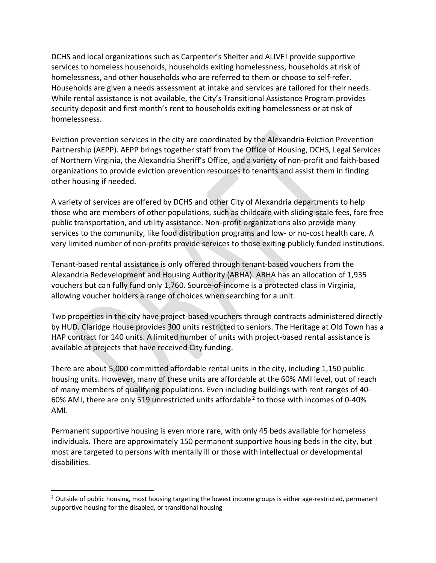DCHS and local organizations such as Carpenter's Shelter and ALIVE! provide supportive services to homeless households, households exiting homelessness, households at risk of homelessness, and other households who are referred to them or choose to self-refer. Households are given a needs assessment at intake and services are tailored for their needs. While rental assistance is not available, the City's Transitional Assistance Program provides security deposit and first month's rent to households exiting homelessness or at risk of homelessness.

Eviction prevention services in the city are coordinated by the Alexandria Eviction Prevention Partnership (AEPP). AEPP brings together staff from the Office of Housing, DCHS, Legal Services of Northern Virginia, the Alexandria Sheriff's Office, and a variety of non-profit and faith-based organizations to provide eviction prevention resources to tenants and assist them in finding other housing if needed.

A variety of services are offered by DCHS and other City of Alexandria departments to help those who are members of other populations, such as childcare with sliding-scale fees, fare free public transportation, and utility assistance. Non-profit organizations also provide many services to the community, like food distribution programs and low- or no-cost health care. A very limited number of non-profits provide services to those exiting publicly funded institutions.

Tenant-based rental assistance is only offered through tenant-based vouchers from the Alexandria Redevelopment and Housing Authority (ARHA). ARHA has an allocation of 1,935 vouchers but can fully fund only 1,760. Source-of-income is a protected class in Virginia, allowing voucher holders a range of choices when searching for a unit.

Two properties in the city have project-based vouchers through contracts administered directly by HUD. Claridge House provides 300 units restricted to seniors. The Heritage at Old Town has a HAP contract for 140 units. A limited number of units with project-based rental assistance is available at projects that have received City funding.

There are about 5,000 committed affordable rental units in the city, including 1,150 public housing units. However, many of these units are affordable at the 60% AMI level, out of reach of many members of qualifying populations. Even including buildings with rent ranges of 40- 60% AMI, there are only 519 unrestricted units affordable<sup>[2](#page-9-0)</sup> to those with incomes of 0-40% AMI.

Permanent supportive housing is even more rare, with only 45 beds available for homeless individuals. There are approximately 150 permanent supportive housing beds in the city, but most are targeted to persons with mentally ill or those with intellectual or developmental disabilities.

<span id="page-9-0"></span> $2$  Outside of public housing, most housing targeting the lowest income groups is either age-restricted, permanent supportive housing for the disabled, or transitional housing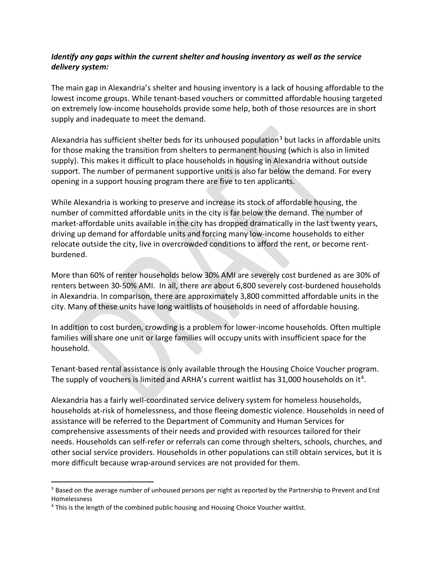#### *Identify any gaps within the current shelter and housing inventory as well as the service delivery system:*

The main gap in Alexandria's shelter and housing inventory is a lack of housing affordable to the lowest income groups. While tenant-based vouchers or committed affordable housing targeted on extremely low-income households provide some help, both of those resources are in short supply and inadequate to meet the demand.

Alexandria has sufficient shelter beds for its unhoused population<sup>[3](#page-10-0)</sup> but lacks in affordable units for those making the transition from shelters to permanent housing (which is also in limited supply). This makes it difficult to place households in housing in Alexandria without outside support. The number of permanent supportive units is also far below the demand. For every opening in a support housing program there are five to ten applicants.

While Alexandria is working to preserve and increase its stock of affordable housing, the number of committed affordable units in the city is far below the demand. The number of market-affordable units available in the city has dropped dramatically in the last twenty years, driving up demand for affordable units and forcing many low-income households to either relocate outside the city, live in overcrowded conditions to afford the rent, or become rentburdened.

More than 60% of renter households below 30% AMI are severely cost burdened as are 30% of renters between 30-50% AMI. In all, there are about 6,800 severely cost-burdened households in Alexandria. In comparison, there are approximately 3,800 committed affordable units in the city. Many of these units have long waitlists of households in need of affordable housing.

In addition to cost burden, crowding is a problem for lower-income households. Often multiple families will share one unit or large families will occupy units with insufficient space for the household.

Tenant-based rental assistance is only available through the Housing Choice Voucher program. The supply of vouchers is limited and ARHA's current waitlist has  $31,000$  households on it<sup>[4](#page-10-1)</sup>.

Alexandria has a fairly well-coordinated service delivery system for homeless households, households at-risk of homelessness, and those fleeing domestic violence. Households in need of assistance will be referred to the Department of Community and Human Services for comprehensive assessments of their needs and provided with resources tailored for their needs. Households can self-refer or referrals can come through shelters, schools, churches, and other social service providers. Households in other populations can still obtain services, but it is more difficult because wrap-around services are not provided for them.

<span id="page-10-0"></span><sup>&</sup>lt;sup>3</sup> Based on the average number of unhoused persons per night as reported by the Partnership to Prevent and End Homelessness

<span id="page-10-1"></span><sup>4</sup> This is the length of the combined public housing and Housing Choice Voucher waitlist.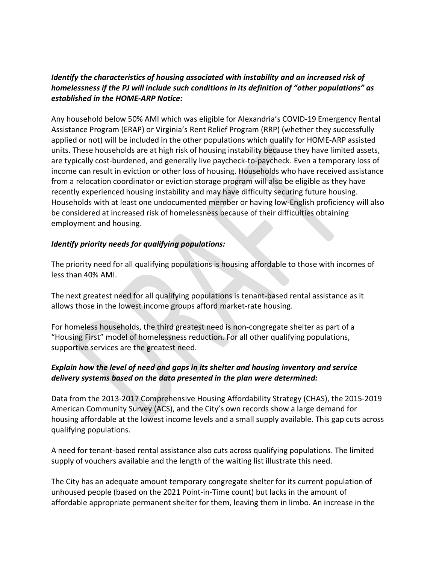# *Identify the characteristics of housing associated with instability and an increased risk of homelessness if the PJ will include such conditions in its definition of "other populations" as established in the HOME-ARP Notice:*

Any household below 50% AMI which was eligible for Alexandria's COVID-19 Emergency Rental Assistance Program (ERAP) or Virginia's Rent Relief Program (RRP) (whether they successfully applied or not) will be included in the other populations which qualify for HOME-ARP assisted units. These households are at high risk of housing instability because they have limited assets, are typically cost-burdened, and generally live paycheck-to-paycheck. Even a temporary loss of income can result in eviction or other loss of housing. Households who have received assistance from a relocation coordinator or eviction storage program will also be eligible as they have recently experienced housing instability and may have difficulty securing future housing. Households with at least one undocumented member or having low-English proficiency will also be considered at increased risk of homelessness because of their difficulties obtaining employment and housing.

#### *Identify priority needs for qualifying populations:*

The priority need for all qualifying populations is housing affordable to those with incomes of less than 40% AMI.

The next greatest need for all qualifying populations is tenant-based rental assistance as it allows those in the lowest income groups afford market-rate housing.

For homeless households, the third greatest need is non-congregate shelter as part of a "Housing First" model of homelessness reduction. For all other qualifying populations, supportive services are the greatest need.

#### *Explain how the level of need and gaps in its shelter and housing inventory and service delivery systems based on the data presented in the plan were determined:*

Data from the 2013-2017 Comprehensive Housing Affordability Strategy (CHAS), the 2015-2019 American Community Survey (ACS), and the City's own records show a large demand for housing affordable at the lowest income levels and a small supply available. This gap cuts across qualifying populations.

A need for tenant-based rental assistance also cuts across qualifying populations. The limited supply of vouchers available and the length of the waiting list illustrate this need.

The City has an adequate amount temporary congregate shelter for its current population of unhoused people (based on the 2021 Point-in-Time count) but lacks in the amount of affordable appropriate permanent shelter for them, leaving them in limbo. An increase in the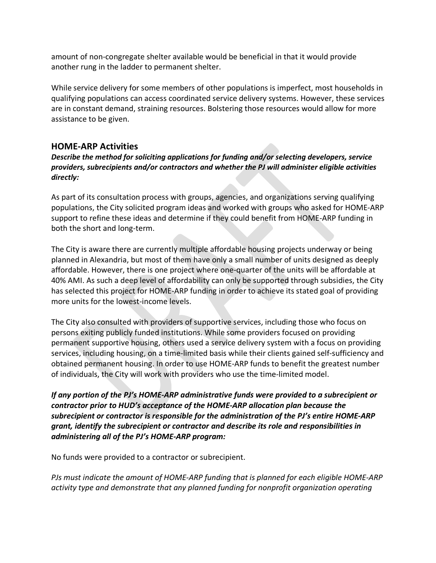amount of non-congregate shelter available would be beneficial in that it would provide another rung in the ladder to permanent shelter.

While service delivery for some members of other populations is imperfect, most households in qualifying populations can access coordinated service delivery systems. However, these services are in constant demand, straining resources. Bolstering those resources would allow for more assistance to be given.

# **HOME-ARP Activities**

*Describe the method for soliciting applications for funding and/or selecting developers, service providers, subrecipients and/or contractors and whether the PJ will administer eligible activities directly:* 

As part of its consultation process with groups, agencies, and organizations serving qualifying populations, the City solicited program ideas and worked with groups who asked for HOME-ARP support to refine these ideas and determine if they could benefit from HOME-ARP funding in both the short and long-term.

The City is aware there are currently multiple affordable housing projects underway or being planned in Alexandria, but most of them have only a small number of units designed as deeply affordable. However, there is one project where one-quarter of the units will be affordable at 40% AMI. As such a deep level of affordability can only be supported through subsidies, the City has selected this project for HOME-ARP funding in order to achieve its stated goal of providing more units for the lowest-income levels.

The City also consulted with providers of supportive services, including those who focus on persons exiting publicly funded institutions. While some providers focused on providing permanent supportive housing, others used a service delivery system with a focus on providing services, including housing, on a time-limited basis while their clients gained self-sufficiency and obtained permanent housing. In order to use HOME-ARP funds to benefit the greatest number of individuals, the City will work with providers who use the time-limited model.

*If any portion of the PJ's HOME-ARP administrative funds were provided to a subrecipient or contractor prior to HUD's acceptance of the HOME-ARP allocation plan because the subrecipient or contractor is responsible for the administration of the PJ's entire HOME-ARP grant, identify the subrecipient or contractor and describe its role and responsibilities in administering all of the PJ's HOME-ARP program:* 

No funds were provided to a contractor or subrecipient.

*PJs must indicate the amount of HOME-ARP funding that is planned for each eligible HOME-ARP activity type and demonstrate that any planned funding for nonprofit organization operating*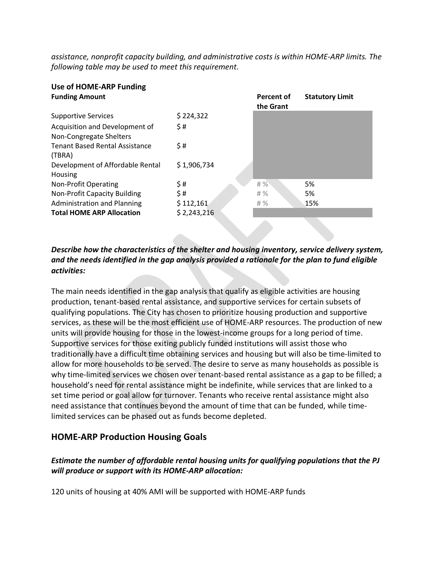*assistance, nonprofit capacity building, and administrative costs is within HOME-ARP limits. The following table may be used to meet this requirement.* 

# **Use of HOME-ARP Funding**

| <b>Funding Amount</b>                                     |             | <b>Percent of</b><br>the Grant | <b>Statutory Limit</b> |
|-----------------------------------------------------------|-------------|--------------------------------|------------------------|
| <b>Supportive Services</b>                                | \$224,322   |                                |                        |
| Acquisition and Development of<br>Non-Congregate Shelters | \$#         |                                |                        |
| <b>Tenant Based Rental Assistance</b><br>(TBRA)           | \$#         |                                |                        |
| Development of Affordable Rental<br>Housing               | \$1,906,734 |                                |                        |
| Non-Profit Operating                                      | \$#         | $# \%$                         | 5%                     |
| <b>Non-Profit Capacity Building</b>                       | \$#         | $#$ %                          | 5%                     |
| <b>Administration and Planning</b>                        | \$112,161   | #%                             | 15%                    |
| <b>Total HOME ARP Allocation</b>                          | \$2,243,216 |                                |                        |
|                                                           |             |                                |                        |

# *Describe how the characteristics of the shelter and housing inventory, service delivery system, and the needs identified in the gap analysis provided a rationale for the plan to fund eligible activities:*

The main needs identified in the gap analysis that qualify as eligible activities are housing production, tenant-based rental assistance, and supportive services for certain subsets of qualifying populations. The City has chosen to prioritize housing production and supportive services, as these will be the most efficient use of HOME-ARP resources. The production of new units will provide housing for those in the lowest-income groups for a long period of time. Supportive services for those exiting publicly funded institutions will assist those who traditionally have a difficult time obtaining services and housing but will also be time-limited to allow for more households to be served. The desire to serve as many households as possible is why time-limited services we chosen over tenant-based rental assistance as a gap to be filled; a household's need for rental assistance might be indefinite, while services that are linked to a set time period or goal allow for turnover. Tenants who receive rental assistance might also need assistance that continues beyond the amount of time that can be funded, while timelimited services can be phased out as funds become depleted.

# **HOME-ARP Production Housing Goals**

#### *Estimate the number of affordable rental housing units for qualifying populations that the PJ will produce or support with its HOME-ARP allocation:*

120 units of housing at 40% AMI will be supported with HOME-ARP funds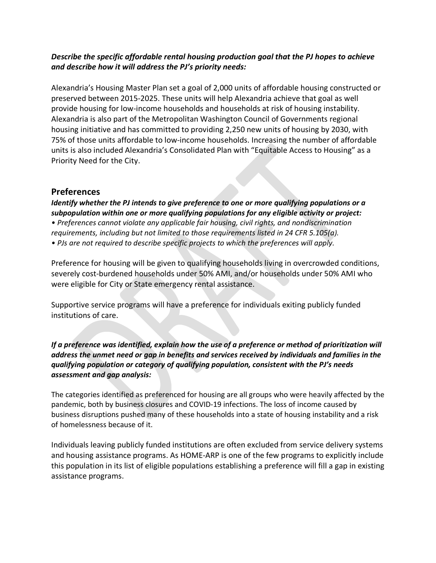#### *Describe the specific affordable rental housing production goal that the PJ hopes to achieve and describe how it will address the PJ's priority needs:*

Alexandria's Housing Master Plan set a goal of 2,000 units of affordable housing constructed or preserved between 2015-2025. These units will help Alexandria achieve that goal as well provide housing for low-income households and households at risk of housing instability. Alexandria is also part of the Metropolitan Washington Council of Governments regional housing initiative and has committed to providing 2,250 new units of housing by 2030, with 75% of those units affordable to low-income households. Increasing the number of affordable units is also included Alexandria's Consolidated Plan with "Equitable Access to Housing" as a Priority Need for the City.

# **Preferences**

*Identify whether the PJ intends to give preference to one or more qualifying populations or a subpopulation within one or more qualifying populations for any eligible activity or project: • Preferences cannot violate any applicable fair housing, civil rights, and nondiscrimination requirements, including but not limited to those requirements listed in 24 CFR 5.105(a). • PJs are not required to describe specific projects to which the preferences will apply.*

Preference for housing will be given to qualifying households living in overcrowded conditions, severely cost-burdened households under 50% AMI, and/or households under 50% AMI who were eligible for City or State emergency rental assistance.

Supportive service programs will have a preference for individuals exiting publicly funded institutions of care.

*If a preference was identified, explain how the use of a preference or method of prioritization will address the unmet need or gap in benefits and services received by individuals and families in the qualifying population or category of qualifying population, consistent with the PJ's needs assessment and gap analysis:* 

The categories identified as preferenced for housing are all groups who were heavily affected by the pandemic, both by business closures and COVID-19 infections. The loss of income caused by business disruptions pushed many of these households into a state of housing instability and a risk of homelessness because of it.

Individuals leaving publicly funded institutions are often excluded from service delivery systems and housing assistance programs. As HOME-ARP is one of the few programs to explicitly include this population in its list of eligible populations establishing a preference will fill a gap in existing assistance programs.